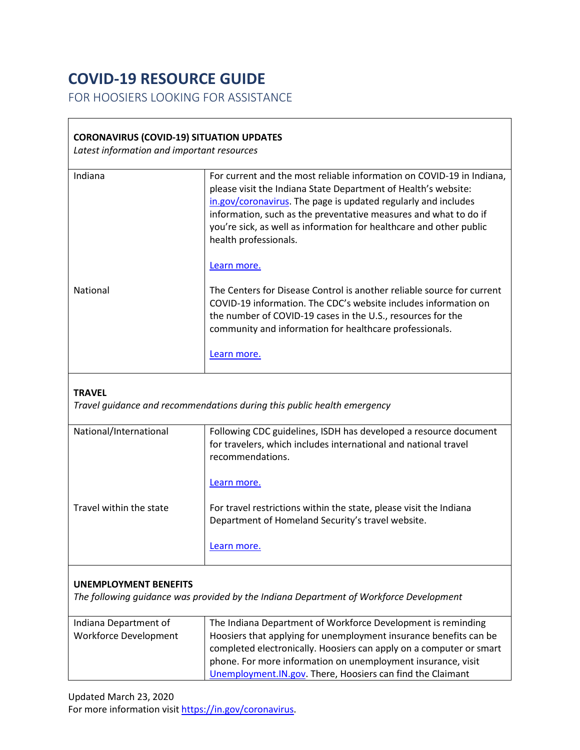## **COVID-19 RESOURCE GUIDE**

FOR HOOSIERS LOOKING FOR ASSISTANCE

## **CORONAVIRUS (COVID-19) SITUATION UPDATES**

*Latest information and important resources*

| Indiana                                                                                | For current and the most reliable information on COVID-19 in Indiana,<br>please visit the Indiana State Department of Health's website:<br>in.gov/coronavirus. The page is updated regularly and includes<br>information, such as the preventative measures and what to do if<br>you're sick, as well as information for healthcare and other public<br>health professionals. |
|----------------------------------------------------------------------------------------|-------------------------------------------------------------------------------------------------------------------------------------------------------------------------------------------------------------------------------------------------------------------------------------------------------------------------------------------------------------------------------|
|                                                                                        | Learn more.                                                                                                                                                                                                                                                                                                                                                                   |
| <b>National</b>                                                                        | The Centers for Disease Control is another reliable source for current<br>COVID-19 information. The CDC's website includes information on<br>the number of COVID-19 cases in the U.S., resources for the<br>community and information for healthcare professionals.                                                                                                           |
|                                                                                        | Learn more.                                                                                                                                                                                                                                                                                                                                                                   |
| <b>TRAVEL</b>                                                                          | Travel guidance and recommendations during this public health emergency                                                                                                                                                                                                                                                                                                       |
| National/International                                                                 | Following CDC guidelines, ISDH has developed a resource document<br>for travelers, which includes international and national travel<br>recommendations.                                                                                                                                                                                                                       |
|                                                                                        | Learn more.                                                                                                                                                                                                                                                                                                                                                                   |
| Travel within the state                                                                | For travel restrictions within the state, please visit the Indiana<br>Department of Homeland Security's travel website.                                                                                                                                                                                                                                                       |
|                                                                                        | Learn more.                                                                                                                                                                                                                                                                                                                                                                   |
| <b>UNEMPLOYMENT BENEFITS</b>                                                           |                                                                                                                                                                                                                                                                                                                                                                               |
| The following guidance was provided by the Indiana Department of Workforce Development |                                                                                                                                                                                                                                                                                                                                                                               |
| Indiana Department of                                                                  | The Indiana Department of Workforce Development is reminding                                                                                                                                                                                                                                                                                                                  |
| <b>Workforce Development</b>                                                           | Hoosiers that applying for unemployment insurance benefits can be<br>completed electronically. Hoosiers can apply on a computer or smart                                                                                                                                                                                                                                      |

phone. For more information on unemployment insurance, visit [Unemployment.IN.gov.](https://www.in.gov/dwd/3474.htm) There, Hoosiers can find the Claimant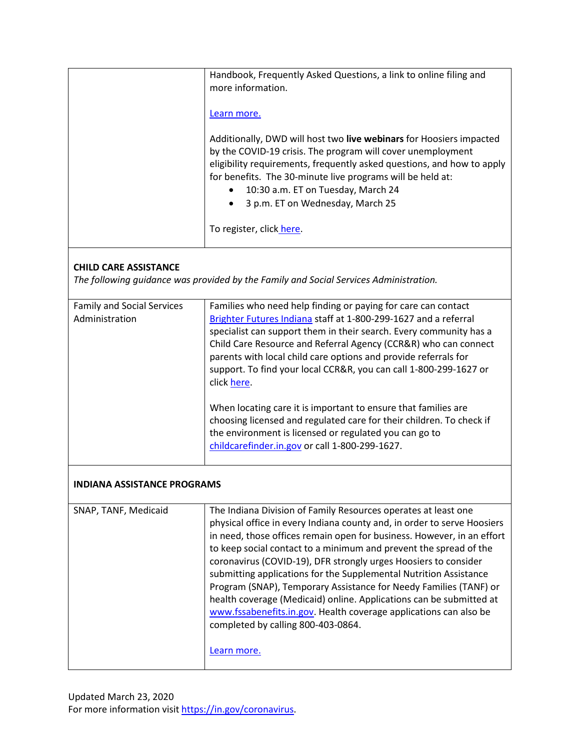|                                                                                                                       | Handbook, Frequently Asked Questions, a link to online filing and                                                                                                                                                                                                                                                                                                                                                                                                                                                                                                                                                                                                                       |  |  |
|-----------------------------------------------------------------------------------------------------------------------|-----------------------------------------------------------------------------------------------------------------------------------------------------------------------------------------------------------------------------------------------------------------------------------------------------------------------------------------------------------------------------------------------------------------------------------------------------------------------------------------------------------------------------------------------------------------------------------------------------------------------------------------------------------------------------------------|--|--|
|                                                                                                                       | more information.                                                                                                                                                                                                                                                                                                                                                                                                                                                                                                                                                                                                                                                                       |  |  |
|                                                                                                                       |                                                                                                                                                                                                                                                                                                                                                                                                                                                                                                                                                                                                                                                                                         |  |  |
|                                                                                                                       | Learn more.                                                                                                                                                                                                                                                                                                                                                                                                                                                                                                                                                                                                                                                                             |  |  |
|                                                                                                                       | Additionally, DWD will host two live webinars for Hoosiers impacted<br>by the COVID-19 crisis. The program will cover unemployment<br>eligibility requirements, frequently asked questions, and how to apply<br>for benefits. The 30-minute live programs will be held at:<br>10:30 a.m. ET on Tuesday, March 24<br>3 p.m. ET on Wednesday, March 25<br>To register, click here.                                                                                                                                                                                                                                                                                                        |  |  |
|                                                                                                                       |                                                                                                                                                                                                                                                                                                                                                                                                                                                                                                                                                                                                                                                                                         |  |  |
| <b>CHILD CARE ASSISTANCE</b><br>The following guidance was provided by the Family and Social Services Administration. |                                                                                                                                                                                                                                                                                                                                                                                                                                                                                                                                                                                                                                                                                         |  |  |
| <b>Family and Social Services</b><br>Administration                                                                   | Families who need help finding or paying for care can contact<br>Brighter Futures Indiana staff at 1-800-299-1627 and a referral<br>specialist can support them in their search. Every community has a<br>Child Care Resource and Referral Agency (CCR&R) who can connect<br>parents with local child care options and provide referrals for<br>support. To find your local CCR&R, you can call 1-800-299-1627 or<br>click here.                                                                                                                                                                                                                                                        |  |  |
|                                                                                                                       | When locating care it is important to ensure that families are<br>choosing licensed and regulated care for their children. To check if<br>the environment is licensed or regulated you can go to<br>childcarefinder.in.gov or call 1-800-299-1627.                                                                                                                                                                                                                                                                                                                                                                                                                                      |  |  |
| <b>INDIANA ASSISTANCE PROGRAMS</b>                                                                                    |                                                                                                                                                                                                                                                                                                                                                                                                                                                                                                                                                                                                                                                                                         |  |  |
| SNAP, TANF, Medicaid                                                                                                  | The Indiana Division of Family Resources operates at least one<br>physical office in every Indiana county and, in order to serve Hoosiers<br>in need, those offices remain open for business. However, in an effort<br>to keep social contact to a minimum and prevent the spread of the<br>coronavirus (COVID-19), DFR strongly urges Hoosiers to consider<br>submitting applications for the Supplemental Nutrition Assistance<br>Program (SNAP), Temporary Assistance for Needy Families (TANF) or<br>health coverage (Medicaid) online. Applications can be submitted at<br>www.fssabenefits.in.gov. Health coverage applications can also be<br>completed by calling 800-403-0864. |  |  |
|                                                                                                                       | Learn more.                                                                                                                                                                                                                                                                                                                                                                                                                                                                                                                                                                                                                                                                             |  |  |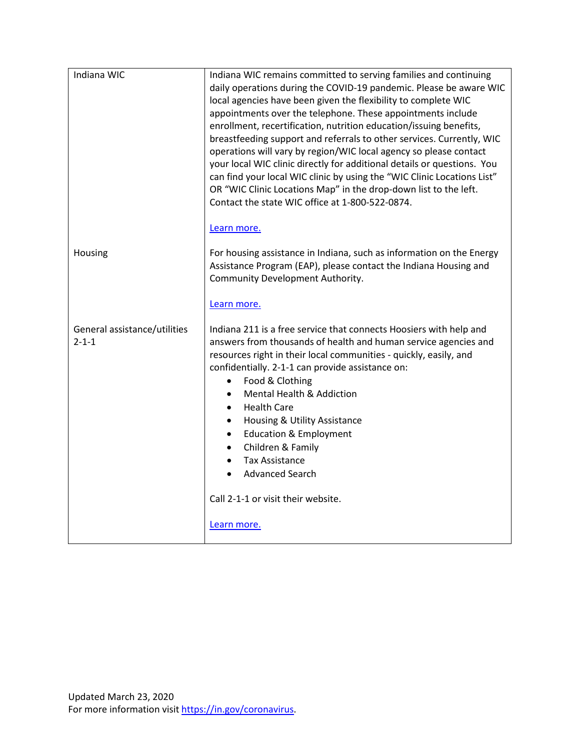| Indiana WIC                                 | Indiana WIC remains committed to serving families and continuing<br>daily operations during the COVID-19 pandemic. Please be aware WIC<br>local agencies have been given the flexibility to complete WIC<br>appointments over the telephone. These appointments include<br>enrollment, recertification, nutrition education/issuing benefits,<br>breastfeeding support and referrals to other services. Currently, WIC<br>operations will vary by region/WIC local agency so please contact<br>your local WIC clinic directly for additional details or questions. You<br>can find your local WIC clinic by using the "WIC Clinic Locations List"<br>OR "WIC Clinic Locations Map" in the drop-down list to the left.<br>Contact the state WIC office at 1-800-522-0874. |
|---------------------------------------------|--------------------------------------------------------------------------------------------------------------------------------------------------------------------------------------------------------------------------------------------------------------------------------------------------------------------------------------------------------------------------------------------------------------------------------------------------------------------------------------------------------------------------------------------------------------------------------------------------------------------------------------------------------------------------------------------------------------------------------------------------------------------------|
| Housing                                     | Learn more.<br>For housing assistance in Indiana, such as information on the Energy<br>Assistance Program (EAP), please contact the Indiana Housing and<br>Community Development Authority.<br>Learn more.                                                                                                                                                                                                                                                                                                                                                                                                                                                                                                                                                               |
| General assistance/utilities<br>$2 - 1 - 1$ | Indiana 211 is a free service that connects Hoosiers with help and<br>answers from thousands of health and human service agencies and<br>resources right in their local communities - quickly, easily, and<br>confidentially. 2-1-1 can provide assistance on:<br>Food & Clothing<br>$\bullet$<br><b>Mental Health &amp; Addiction</b><br>$\bullet$<br><b>Health Care</b><br>$\bullet$<br>Housing & Utility Assistance<br>$\bullet$<br><b>Education &amp; Employment</b><br>$\bullet$<br>Children & Family<br>$\bullet$<br><b>Tax Assistance</b><br>$\bullet$<br><b>Advanced Search</b>                                                                                                                                                                                  |
|                                             | Call 2-1-1 or visit their website.                                                                                                                                                                                                                                                                                                                                                                                                                                                                                                                                                                                                                                                                                                                                       |
|                                             | Learn more.                                                                                                                                                                                                                                                                                                                                                                                                                                                                                                                                                                                                                                                                                                                                                              |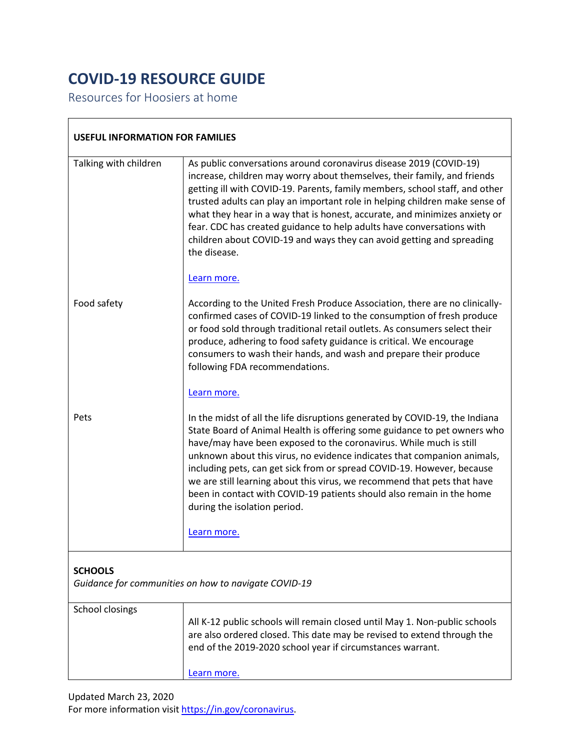## **COVID-19 RESOURCE GUIDE**

Resources for Hoosiers at home

 $\sqrt{2}$ 

| <b>USEFUL INFORMATION FOR FAMILIES</b>               |                                                                                                                                                                                                                                                                                                                                                                                                                                                                                                                                                                                        |  |
|------------------------------------------------------|----------------------------------------------------------------------------------------------------------------------------------------------------------------------------------------------------------------------------------------------------------------------------------------------------------------------------------------------------------------------------------------------------------------------------------------------------------------------------------------------------------------------------------------------------------------------------------------|--|
| Talking with children                                | As public conversations around coronavirus disease 2019 (COVID-19)<br>increase, children may worry about themselves, their family, and friends<br>getting ill with COVID-19. Parents, family members, school staff, and other<br>trusted adults can play an important role in helping children make sense of<br>what they hear in a way that is honest, accurate, and minimizes anxiety or<br>fear. CDC has created guidance to help adults have conversations with<br>children about COVID-19 and ways they can avoid getting and spreading<br>the disease.                           |  |
|                                                      | Learn more.                                                                                                                                                                                                                                                                                                                                                                                                                                                                                                                                                                            |  |
| Food safety                                          | According to the United Fresh Produce Association, there are no clinically-<br>confirmed cases of COVID-19 linked to the consumption of fresh produce<br>or food sold through traditional retail outlets. As consumers select their<br>produce, adhering to food safety guidance is critical. We encourage<br>consumers to wash their hands, and wash and prepare their produce<br>following FDA recommendations.                                                                                                                                                                      |  |
|                                                      | Learn more.                                                                                                                                                                                                                                                                                                                                                                                                                                                                                                                                                                            |  |
| Pets                                                 | In the midst of all the life disruptions generated by COVID-19, the Indiana<br>State Board of Animal Health is offering some guidance to pet owners who<br>have/may have been exposed to the coronavirus. While much is still<br>unknown about this virus, no evidence indicates that companion animals,<br>including pets, can get sick from or spread COVID-19. However, because<br>we are still learning about this virus, we recommend that pets that have<br>been in contact with COVID-19 patients should also remain in the home<br>during the isolation period.<br>Learn more. |  |
| <b>SCHOOLS</b>                                       |                                                                                                                                                                                                                                                                                                                                                                                                                                                                                                                                                                                        |  |
| Guidance for communities on how to navigate COVID-19 |                                                                                                                                                                                                                                                                                                                                                                                                                                                                                                                                                                                        |  |
| School closings                                      | All K-12 public schools will remain closed until May 1. Non-public schools<br>are also ordered closed. This date may be revised to extend through the<br>end of the 2019-2020 school year if circumstances warrant.                                                                                                                                                                                                                                                                                                                                                                    |  |
|                                                      | Learn more.                                                                                                                                                                                                                                                                                                                                                                                                                                                                                                                                                                            |  |